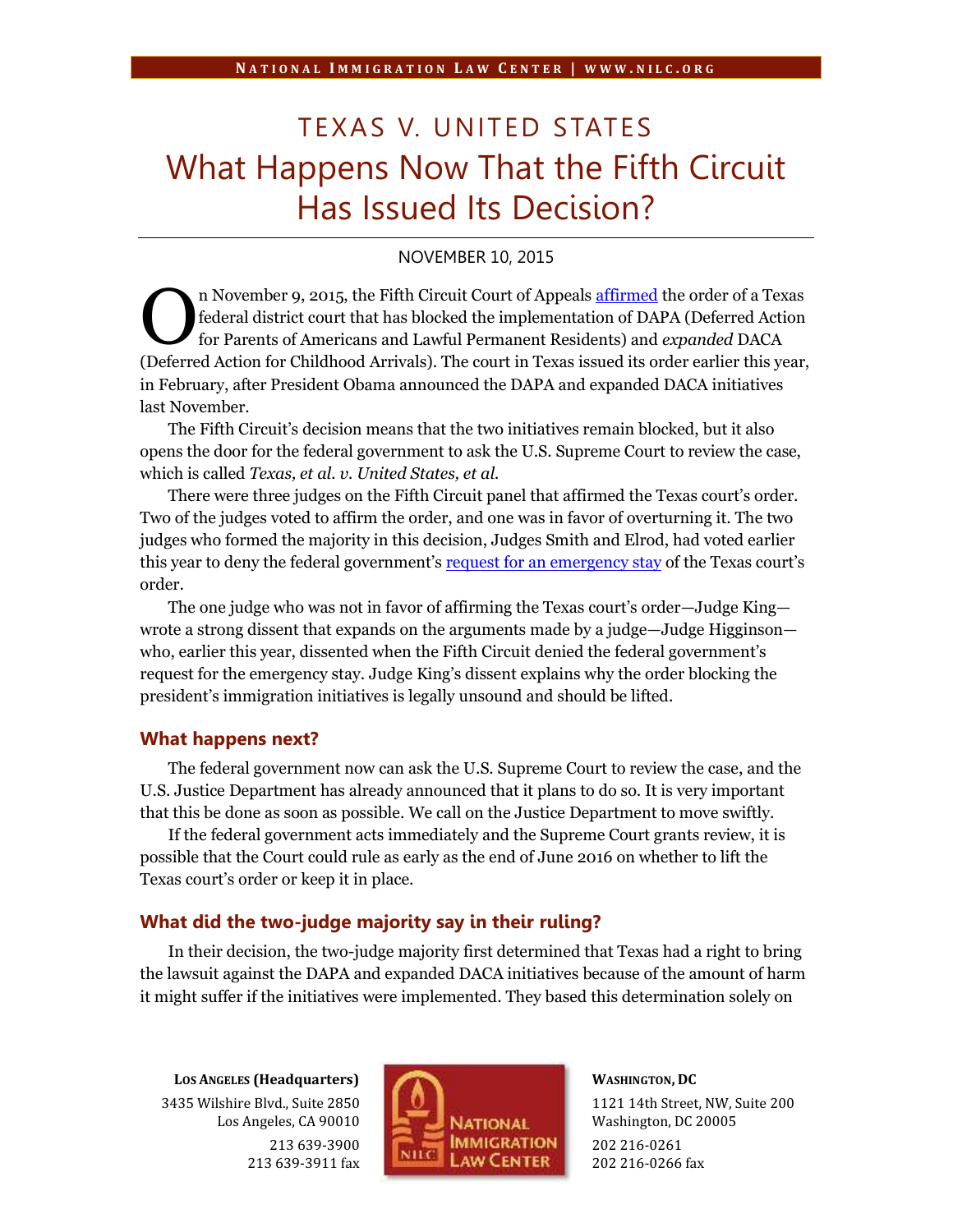# TEXAS V. UNITED STATES What Happens Now That the Fifth Circuit Has Issued Its Decision?

# NOVEMBER 10, 2015

n November 9, 2015, the Fifth Circuit Court of Appeals affirmed the order of a Texas federal district court that has blocked the implementation of DAPA (Deferred Action for Parents of Americans and Lawful Permanent Residents) and *expanded* DACA The November 9, 2015, the Fifth Circuit Court of Appeals affirmed the order of a Texas federal district court that has blocked the implementation of DAPA (Deferred Action for Parents of Americans and Lawful Permanent Resid in February, after President Obama announced the DAPA and expanded DACA initiatives last November.

The Fifth Circuit's decision means that the two initiatives remain blocked, but it also opens the door for the federal government to ask the U.S. Supreme Court to review the case, which is called *Texas, et al. v. United States, et al.*

There were three judges on the Fifth Circuit panel that affirmed the Texas court's order. Two of the judges voted to affirm the order, and one was in favor of overturning it. The two judges who formed the majority in this decision, Judges Smith and Elrod, had voted earlier this year to deny the federal government's request for an emergency stay of the Texas court's order.

The one judge who was not in favor of affirming the Texas court's order—Judge King wrote a strong dissent that expands on the arguments made by a judge—Judge Higginson who, earlier this year, dissented when the Fifth Circuit denied the federal government's request for the emergency stay. Judge King's dissent explains why the order blocking the president's immigration initiatives is legally unsound and should be lifted.

### **What happens next?**

The federal government now can ask the U.S. Supreme Court to review the case, and the U.S. Justice Department has already announced that it plans to do so. It is very important that this be done as soon as possible. We call on the Justice Department to move swiftly.

If the federal government acts immediately and the Supreme Court grants review, it is possible that the Court could rule as early as the end of June 2016 on whether to lift the Texas court's order or keep it in place.

## **What did the two-judge majority say in their ruling?**

In their decision, the two-judge majority first determined that Texas had a right to bring the lawsuit against the DAPA and expanded DACA initiatives because of the amount of harm it might suffer if the initiatives were implemented. They based this determination solely on

**LOS ANGELES (Headquarters)** 3435 Wilshire Blvd., Suite 2850 Los Angeles, CA 90010 213 639-3900 213 639-3911 fax



# **WASHINGTON, DC**

1121 14th Street, NW, Suite 200 Washington, DC 20005 202 216-0261 202 216-0266 fax